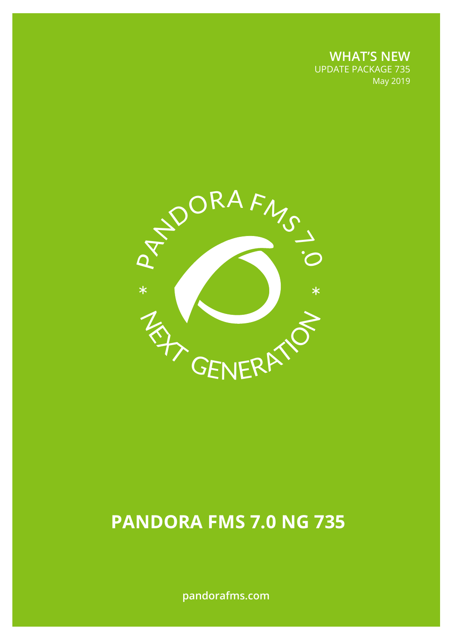**WHAT'S NEW** UPDATE PACKAGE 735 May 2019



# **PANDORA FMS 7.0 NG 735**

**pandorafms.com**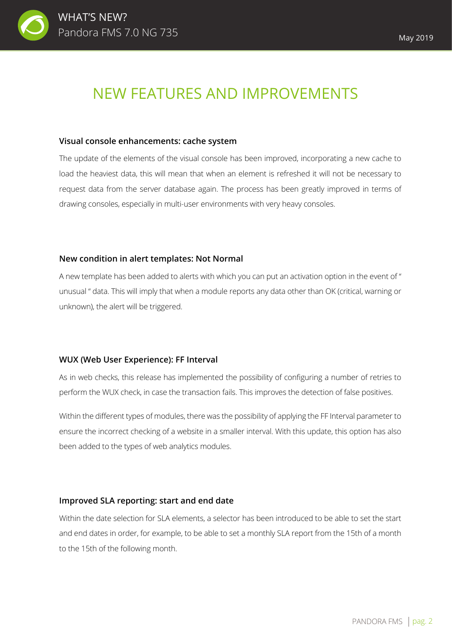

## NEW FEATURES AND IMPROVEMENTS

#### **Visual console enhancements: cache system**

The update of the elements of the visual console has been improved, incorporating a new cache to load the heaviest data, this will mean that when an element is refreshed it will not be necessary to request data from the server database again. The process has been greatly improved in terms of drawing consoles, especially in multi-user environments with very heavy consoles.

## **New condition in alert templates: Not Normal**

A new template has been added to alerts with which you can put an activation option in the event of " unusual " data. This will imply that when a module reports any data other than OK (critical, warning or unknown), the alert will be triggered.

## **WUX (Web User Experience): FF Interval**

As in web checks, this release has implemented the possibility of configuring a number of retries to perform the WUX check, in case the transaction fails. This improves the detection of false positives.

Within the different types of modules, there was the possibility of applying the FF Interval parameter to ensure the incorrect checking of a website in a smaller interval. With this update, this option has also been added to the types of web analytics modules.

## **Improved SLA reporting: start and end date**

Within the date selection for SLA elements, a selector has been introduced to be able to set the start and end dates in order, for example, to be able to set a monthly SLA report from the 15th of a month to the 15th of the following month.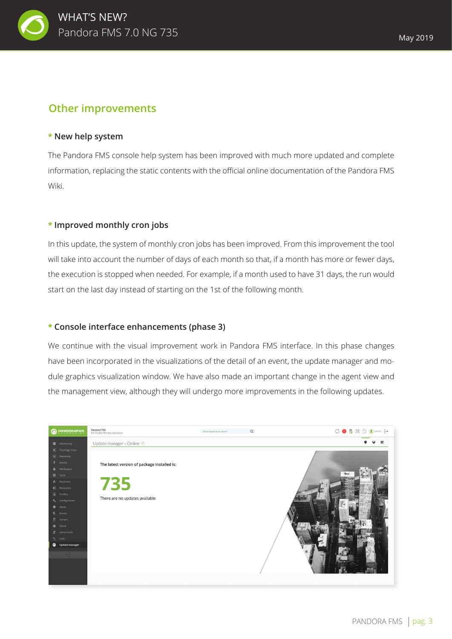

## **Other improvements**

## **\* New help system**

The Pandora FMS console help system has been improved with much more updated and complete information, replacing the static contents with the official online documentation of the Pandora FMS Wiki.

## **\* Improved monthly cron jobs**

In this update, the system of monthly cron jobs has been improved. From this improvement the tool will take into account the number of days of each month so that, if a month has more or fewer days, the execution is stopped when needed. For example, if a month used to have 31 days, the run would start on the last day instead of starting on the 1st of the following month.

## **\* Console interface enhancements (phase 3)**

We continue with the visual improvement work in Pandora FMS interface. In this phase changes have been incorporated in the visualizations of the detail of an event, the update manager and module graphics visualization window. We have also made an important change in the agent view and the management view, although they will undergo more improvements in the following updates.

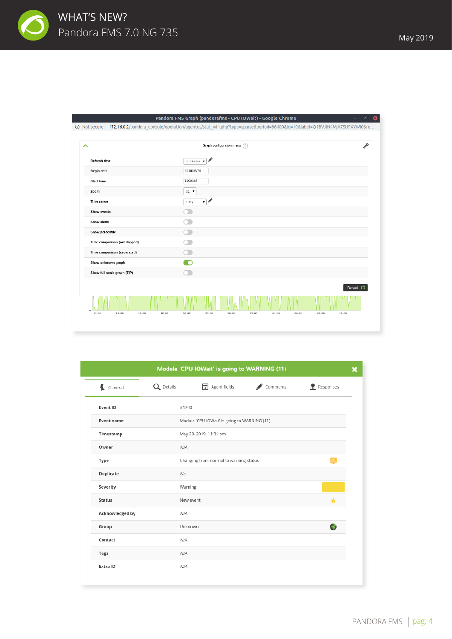

| Pandora FMS Graph (pandorafms - CPU IOWait) - Google Chrome<br>$\bullet$<br>$\mathcal{O}^{\pm}$<br>٠ |                                                                                                                                   |          |  |  |  |  |  |  |  |  |
|------------------------------------------------------------------------------------------------------|-----------------------------------------------------------------------------------------------------------------------------------|----------|--|--|--|--|--|--|--|--|
|                                                                                                      | (D) Not secure   172.16.0.2/pandora_console/operation/agentes/stat_win.php?type=sparse.=86400&id=10&label=Q1BVJiN4MjA7SU9XYWl0&re |          |  |  |  |  |  |  |  |  |
|                                                                                                      |                                                                                                                                   |          |  |  |  |  |  |  |  |  |
| ᄉ                                                                                                    | Graph configuration menu ?                                                                                                        |          |  |  |  |  |  |  |  |  |
| <b>Refresh time</b>                                                                                  | 10 minutes                                                                                                                        |          |  |  |  |  |  |  |  |  |
| <b>Begin date</b>                                                                                    | 2019/05/29                                                                                                                        |          |  |  |  |  |  |  |  |  |
| <b>Start time</b>                                                                                    | 11:34:48                                                                                                                          |          |  |  |  |  |  |  |  |  |
| Zoom                                                                                                 | $x1 -$                                                                                                                            |          |  |  |  |  |  |  |  |  |
| Time range                                                                                           | $\mathbf{v}$ and<br>1 day                                                                                                         |          |  |  |  |  |  |  |  |  |
| <b>Show events</b>                                                                                   |                                                                                                                                   |          |  |  |  |  |  |  |  |  |
| <b>Show alerts</b>                                                                                   |                                                                                                                                   |          |  |  |  |  |  |  |  |  |
| Show percentile                                                                                      |                                                                                                                                   |          |  |  |  |  |  |  |  |  |
| Time comparison (overlapped)                                                                         |                                                                                                                                   |          |  |  |  |  |  |  |  |  |
| Time comparison (separated)                                                                          |                                                                                                                                   |          |  |  |  |  |  |  |  |  |
| Show unknown graph                                                                                   |                                                                                                                                   |          |  |  |  |  |  |  |  |  |
| Show full scale graph (TIP)                                                                          |                                                                                                                                   |          |  |  |  |  |  |  |  |  |
|                                                                                                      |                                                                                                                                   | Reload C |  |  |  |  |  |  |  |  |
|                                                                                                      |                                                                                                                                   |          |  |  |  |  |  |  |  |  |
| 12:00<br>14:00<br>16:00<br>18:00                                                                     | 20:00<br>22:00<br>00:00<br>02:00<br>04:00<br>06:00<br>08:00<br>10:00                                                              |          |  |  |  |  |  |  |  |  |

|                      |           | Module 'CPU IOWait' is going to WARNING (11) |          |                    |
|----------------------|-----------|----------------------------------------------|----------|--------------------|
| $\leftarrow$ General | Q Details | $\boxed{\overline{F}}$ Agent fields          | Comments | <b>P</b> Responses |
| Event ID             | #1740     |                                              |          |                    |
| Event name           |           | Module 'CPU IOWait' is going to WARNING (11) |          |                    |
| Timestamp            |           | May 29, 2019, 11:31 am                       |          |                    |
| Owner                | N/A       |                                              |          |                    |
| Type                 |           | Changing from normal to warning status       |          | بدار               |
| Duplicate            | No        |                                              |          |                    |
| Severity             | Warning   |                                              |          |                    |
| <b>Status</b>        |           | New event                                    |          | ÷                  |
| Acknowledged by      | N/A       |                                              |          |                    |
| Group                | Unknown   |                                              |          |                    |
| Contact              | N/A       |                                              |          |                    |
| <b>Tags</b>          | N/A       |                                              |          |                    |
| Extra ID             | N/A       |                                              |          |                    |
|                      |           |                                              |          |                    |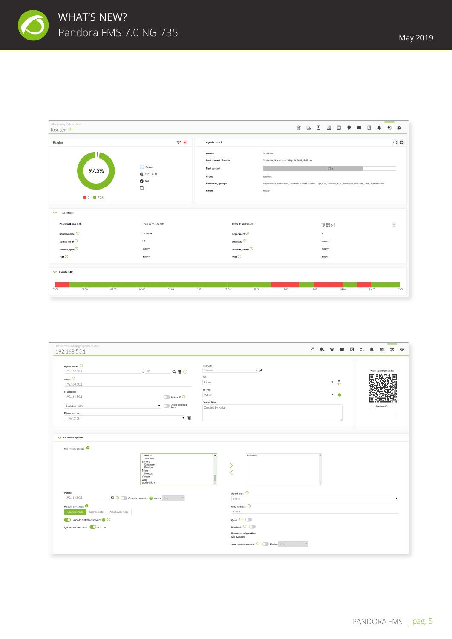

| Monitoring / View / Main<br>Router <sup>®</sup>          |                                                |                                                                                                                      | 佥<br>図<br>B<br>◧<br>因<br>$\overline{z}$                                                                                                                                                                 | 齿<br>ഩ          |
|----------------------------------------------------------|------------------------------------------------|----------------------------------------------------------------------------------------------------------------------|---------------------------------------------------------------------------------------------------------------------------------------------------------------------------------------------------------|-----------------|
| $\widehat{\mathcal{F}}$ $\widehat{\mathbf{U}}$<br>Router |                                                | <b>Agent contact</b>                                                                                                 |                                                                                                                                                                                                         | $\circ$ $\circ$ |
| 97.5%<br>97 9276                                         | Router<br>₩ 192.168.70.1<br>$\bullet$ N/A<br>E | Interval<br><b>Last contact / Remote</b><br><b>Next contact</b><br><b>Group</b><br><b>Secondary groups</b><br>Parent | 5 minutes<br>3 minutes 46 seconds / May 29, 2019, 5:45 pm<br>75s<br>Network<br>Applications, Databases, Firewalls, Oracle, Padre, Hijo, Seq, Servers, SQL, Unknown, VmWare, Web, Workstations<br>Router |                 |
| $\checkmark$<br><b>Agent info</b>                        |                                                |                                                                                                                      |                                                                                                                                                                                                         |                 |
| <b>Position (Long, Lat)</b>                              | There is no GIS data.                          | <b>Other IP addresses</b>                                                                                            | 192.168.50.1<br>192.168.80.1                                                                                                                                                                            | $\hat{\div}$    |
| Serial Number <sup>1</sup>                               | 253ws34                                        | Department <sup>1</sup>                                                                                              | $\boldsymbol{\Pi}$                                                                                                                                                                                      |                 |
| Additional ID <sup>1</sup>                               | 12                                             | eHorusID <sup>(1)</sup>                                                                                              | -empty-                                                                                                                                                                                                 |                 |
| vmware_type <sup>1</sup><br>$\mathbf{nn}\odot$           | -empty-<br>-empty-                             | vmware_parent <sup>1</sup><br>3333                                                                                   | -empty-<br>-empty-                                                                                                                                                                                      |                 |
| $\vee$ Events (24h)                                      |                                                |                                                                                                                      |                                                                                                                                                                                                         |                 |
| 01:00<br>03:00<br>05:00                                  | 07:00<br>09:00                                 | 11:00<br>13:00<br>15:00                                                                                              | 17:00<br>19.00<br>21.00<br>23:00                                                                                                                                                                        | 01.00           |

| 192.168.50.1                                       |                                                                                                           |                         |                        |                                 | ₽ | $\bullet$ . We are $\Box$ |                 | $\frac{11}{94}$ | $\bullet$ .<br>44.  | 氽                  |
|----------------------------------------------------|-----------------------------------------------------------------------------------------------------------|-------------------------|------------------------|---------------------------------|---|---------------------------|-----------------|-----------------|---------------------|--------------------|
| Agent name: 0                                      |                                                                                                           |                         | Interval:<br>5 minutes | $\mathbf{v}$                    |   |                           |                 |                 |                     |                    |
| 192.168.50.1                                       | $ID - 42$                                                                                                 | Q面②                     |                        |                                 |   |                           |                 |                 | View agent QR code: |                    |
| Alias: $①$                                         |                                                                                                           |                         | OS:                    |                                 |   |                           |                 |                 |                     |                    |
| 192.168.50.1                                       |                                                                                                           |                         | Linux                  |                                 |   |                           | ▼Δ              |                 |                     |                    |
| <b>IP Address:</b>                                 |                                                                                                           |                         | Server:                |                                 |   |                           |                 |                 |                     |                    |
| 192.168.50.1                                       |                                                                                                           | Unique IP (             | varian                 |                                 |   |                           | $\cdot$ $\circ$ |                 |                     |                    |
|                                                    |                                                                                                           | Delete selected         | <b>Description:</b>    |                                 |   |                           |                 |                 |                     |                    |
| 192.168.50.1                                       |                                                                                                           | $\blacksquare$<br>items | Created by varian      |                                 |   |                           |                 |                 | <b>Custom ID:</b>   |                    |
| Primary group:                                     |                                                                                                           |                         |                        |                                 |   |                           |                 |                 |                     |                    |
| Switches                                           |                                                                                                           | $\cdot$ $\blacksquare$  |                        |                                 |   |                           |                 |                 |                     |                    |
|                                                    | Red80<br>Switches                                                                                         |                         |                        | Unknown                         |   |                           |                 |                 |                     |                    |
|                                                    | <b>Servers</b><br>Databases<br>Pandora<br><b>Stress</b><br>Nuevos<br><b>VMware</b><br>Web<br>Workstations |                         |                        |                                 |   |                           |                 |                 |                     |                    |
|                                                    |                                                                                                           |                         |                        | Agent icon: 0                   |   |                           |                 |                 |                     |                    |
| Parent:<br>192.168.80.1                            | <b>D O Cascade protection <b>O</b> Module Any</b>                                                         | $\mathbb {V}$           |                        | None                            |   |                           |                 |                 |                     |                    |
|                                                    |                                                                                                           |                         |                        | URL address: $\bigcirc$         |   |                           |                 |                 |                     |                    |
| Module definition:<br>Learning mode<br>Normal mode | Autodisable mode                                                                                          |                         |                        | admin                           |   |                           |                 |                 |                     |                    |
| Cascade protection services @ 0                    |                                                                                                           |                         |                        | Quiet: $\overline{O}$           |   |                           |                 |                 |                     |                    |
| Ignore new GIS data: No / Yes                      |                                                                                                           |                         |                        | Disabled: $\overline{\bigcirc}$ |   |                           |                 |                 |                     |                    |
|                                                    |                                                                                                           |                         |                        | <b>Remote configuration:</b>    |   |                           |                 |                 |                     |                    |
|                                                    |                                                                                                           |                         |                        | Not available                   |   |                           |                 |                 |                     | $\pmb{\mathrm{v}}$ |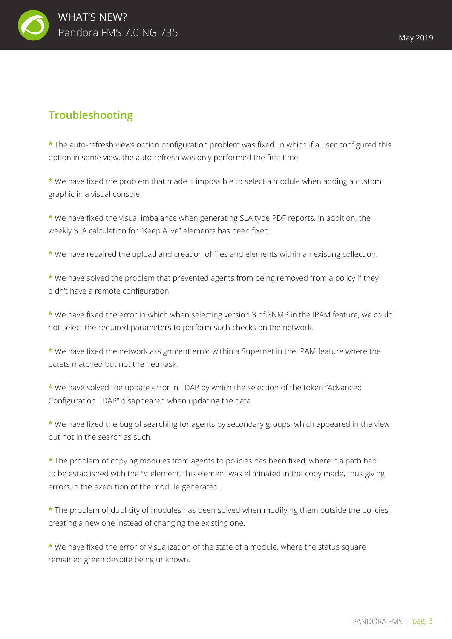

## **Troubleshooting**

**\*** The auto-refresh views option configuration problem was fixed, in which if a user configured this option in some view, the auto-refresh was only performed the first time.

**\*** We have fixed the problem that made it impossible to select a module when adding a custom graphic in a visual console.

**\*** We have fixed the visual imbalance when generating SLA type PDF reports. In addition, the weekly SLA calculation for "Keep Alive" elements has been fixed.

**\*** We have repaired the upload and creation of files and elements within an existing collection.

**\*** We have solved the problem that prevented agents from being removed from a policy if they didn't have a remote configuration.

**\*** We have fixed the error in which when selecting version 3 of SNMP in the IPAM feature, we could not select the required parameters to perform such checks on the network.

**\*** We have fixed the network assignment error within a Supernet in the IPAM feature where the octets matched but not the netmask.

**\*** We have solved the update error in LDAP by which the selection of the token "Advanced Configuration LDAP" disappeared when updating the data.

**\*** We have fixed the bug of searching for agents by secondary groups, which appeared in the view but not in the search as such.

**\*** The problem of copying modules from agents to policies has been fixed, where if a path had to be established with the "\" element, this element was eliminated in the copy made, thus giving errors in the execution of the module generated.

**\*** The problem of duplicity of modules has been solved when modifying them outside the policies, creating a new one instead of changing the existing one.

**\*** We have fixed the error of visualization of the state of a module, where the status square remained green despite being unknown.